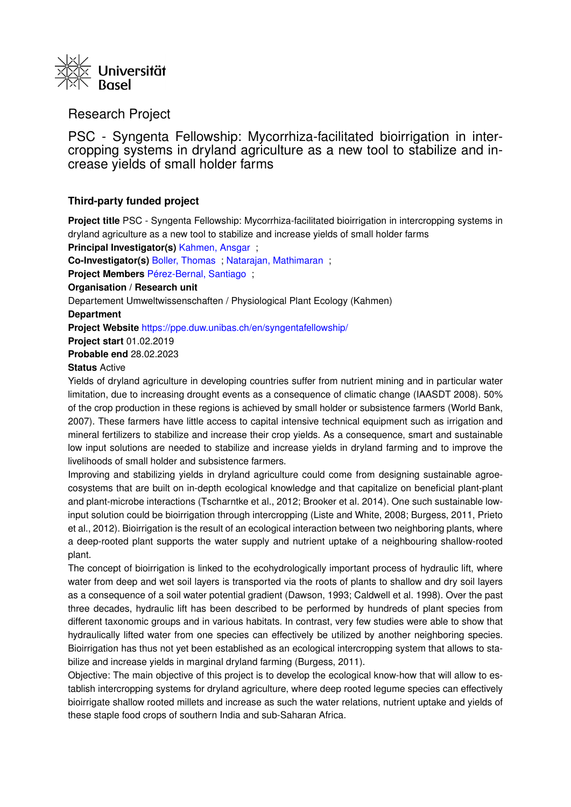

## Research Project

PSC - Syngenta Fellowship: Mycorrhiza-facilitated bioirrigation in intercropping systems in dryland agriculture as a new tool to stabilize and increase yields of small holder farms

### **Third-party funded project**

**Project title** PSC - Syngenta Fellowship: Mycorrhiza-facilitated bioirrigation in intercropping systems in dryland agriculture as a new tool to stabilize and increase yields of small holder farms

**Principal Investigator(s)** [Kahmen, Ansgar](https://forschdb2.unibas.ch/inf2/profiles_view/profile_view.php?pid=51ca5b4745336&int=2) ;

**Co-Investigator(s)** [Boller, Thomas](https://forschdb2.unibas.ch/inf2/profiles_view/profile_view.php?pid=495e6c1179172&int=2) ; [Natarajan, Mathimaran](https://forschdb2.unibas.ch/inf2/profiles_view/profile_view.php?pid=495e6c27b7a31&int=2) ;

**Project Members** [Pérez-Bernal, Santiago](https://forschdb2.unibas.ch/inf2/profiles_view/profile_view.php?pid=5bf8d33110bd5&int=2) ;

**Organisation / Research unit**

Departement Umweltwissenschaften / Physiological Plant Ecology (Kahmen)

#### **Department**

**Project Website** <https://ppe.duw.unibas.ch/en/syngentafellowship/>

**Project start** 01.02.2019

**Probable end** 28.02.2023

#### **Status** Active

Yields of dryland agriculture in developing countries suffer from nutrient mining and in particular water limitation, due to increasing drought events as a consequence of climatic change (IAASDT 2008). 50% of the crop production in these regions is achieved by small holder or subsistence farmers (World Bank, 2007). These farmers have little access to capital intensive technical equipment such as irrigation and mineral fertilizers to stabilize and increase their crop yields. As a consequence, smart and sustainable low input solutions are needed to stabilize and increase yields in dryland farming and to improve the livelihoods of small holder and subsistence farmers.

Improving and stabilizing yields in dryland agriculture could come from designing sustainable agroecosystems that are built on in-depth ecological knowledge and that capitalize on beneficial plant-plant and plant-microbe interactions (Tscharntke et al., 2012; Brooker et al. 2014). One such sustainable lowinput solution could be bioirrigation through intercropping (Liste and White, 2008; Burgess, 2011, Prieto et al., 2012). Bioirrigation is the result of an ecological interaction between two neighboring plants, where a deep-rooted plant supports the water supply and nutrient uptake of a neighbouring shallow-rooted plant.

The concept of bioirrigation is linked to the ecohydrologically important process of hydraulic lift, where water from deep and wet soil layers is transported via the roots of plants to shallow and dry soil layers as a consequence of a soil water potential gradient (Dawson, 1993; Caldwell et al. 1998). Over the past three decades, hydraulic lift has been described to be performed by hundreds of plant species from different taxonomic groups and in various habitats. In contrast, very few studies were able to show that hydraulically lifted water from one species can effectively be utilized by another neighboring species. Bioirrigation has thus not yet been established as an ecological intercropping system that allows to stabilize and increase yields in marginal dryland farming (Burgess, 2011).

Objective: The main objective of this project is to develop the ecological know-how that will allow to establish intercropping systems for dryland agriculture, where deep rooted legume species can effectively bioirrigate shallow rooted millets and increase as such the water relations, nutrient uptake and yields of these staple food crops of southern India and sub-Saharan Africa.